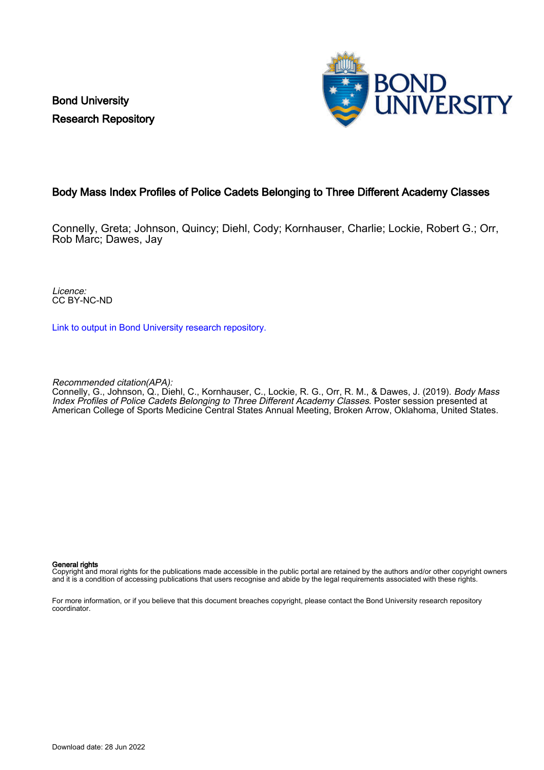Bond University Research Repository



### Body Mass Index Profiles of Police Cadets Belonging to Three Different Academy Classes

Connelly, Greta; Johnson, Quincy; Diehl, Cody; Kornhauser, Charlie; Lockie, Robert G.; Orr, Rob Marc; Dawes, Jay

Licence: CC BY-NC-ND

[Link to output in Bond University research repository.](https://research.bond.edu.au/en/publications/8666951e-f524-46ec-b9b5-3eaf17ba4529)

Recommended citation(APA):

Connelly, G., Johnson, Q., Diehl, C., Kornhauser, C., Lockie, R. G., Orr, R. M., & Dawes, J. (2019). Body Mass Index Profiles of Police Cadets Belonging to Three Different Academy Classes. Poster session presented at American College of Sports Medicine Central States Annual Meeting, Broken Arrow, Oklahoma, United States.

### General rights

Copyright and moral rights for the publications made accessible in the public portal are retained by the authors and/or other copyright owners and it is a condition of accessing publications that users recognise and abide by the legal requirements associated with these rights.

For more information, or if you believe that this document breaches copyright, please contact the Bond University research repository coordinator.